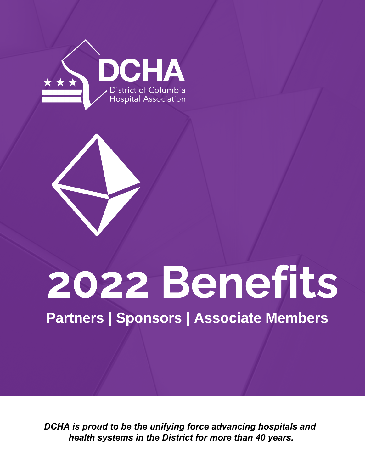



# 2022 Benefits

Partners | Sponsors | Associate Members

*DCHA is proud to be the unifying force advancing hospitals and health systems in the District for more than 40 years.*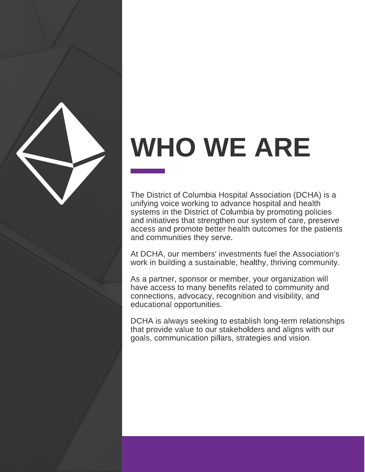

# WHO WE ARE

The District of Columbia Hospital Association (DCHA) is a unifying voice working to advance hospital and health systems in the District of Columbia by promoting policies and initiatives that strengthen our system of care, preserve access and promote better health outcomes for the patients and communities they serve.

At DCHA, our members' investments fuel the Association's work in building a sustainable, healthy, thriving community.

As a partner, sponsor or member, your organization will have access to many benefits related to community and connections, advocacy, recognition and visibility, and educational opportunities.

DCHA is always seeking to establish long-term relationships that provide value to our stakeholders and aligns with our goals, communication pillars, strategies and vision.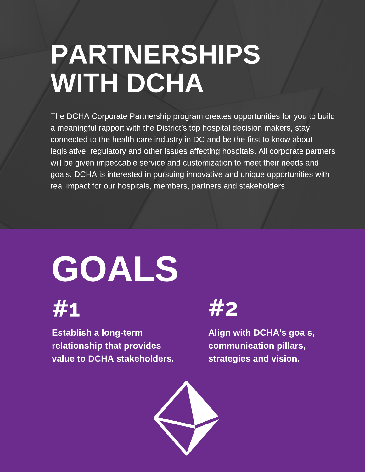## PARTNERSHIPS WITH DCHA

The DCHA Corporate Partnership program creates opportunities for you to build a meaningful rapport with the District's top hospital decision makers, stay connected to the health care industry in DC and be the first to know about legislative, regulatory and other issues affecting hospitals. All corporate partners will be given impeccable service and customization to meet their needs and goals. DCHA is interested in pursuing innovative and unique opportunities with real impact for our hospitals, members, partners and stakeholders.

# GOALS



Establish a long-term relationship that provides value to DCHA stakeholders.



Align with DCHA's goals, communication pillars, strategies and vision.

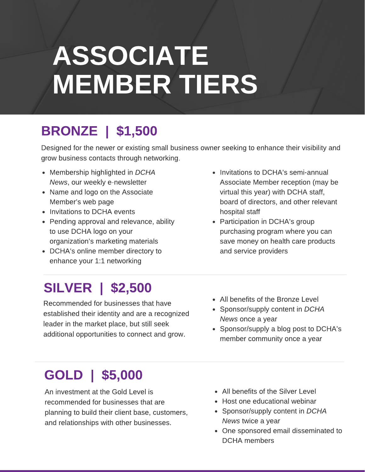## ASSOCIATE MEMBER TIERS

#### BRONZE | \$1,500

Designed for the newer or existing small business owner seeking to enhance their visibility and grow business contacts through networking.

- Membership highlighted in DCHA News, our weekly e-newsletter
- Name and logo on the Associate Member's web page
- Invitations to DCHA events
- Pending approval and relevance, ability to use DCHA logo on your organization's marketing materials
- DCHA's online member directory to enhance your 1:1 networking
- Invitations to DCHA's semi-annual Associate Member reception (may be virtual this year) with DCHA staff, board of directors, and other relevant hospital staff
- Participation in DCHA's group purchasing program where you can save money on health care products and service providers

### SILVER | \$2,500

Recommended for businesses that have established their identity and are a recognized leader in the market place, but still seek additional opportunities to connect and grow.

- All benefits of the Bronze Level
- Sponsor/supply content in DCHA News once a year
- Sponsor/supply a blog post to DCHA's member community once a year

### GOLD | \$5,000

An investment at the Gold Level is recommended for businesses that are planning to build their client base, customers, and relationships with other businesses.

- All benefits of the Silver Level
- Host one educational webinar
- Sponsor/supply content in DCHA News twice a year
- One sponsored email disseminated to DCHA members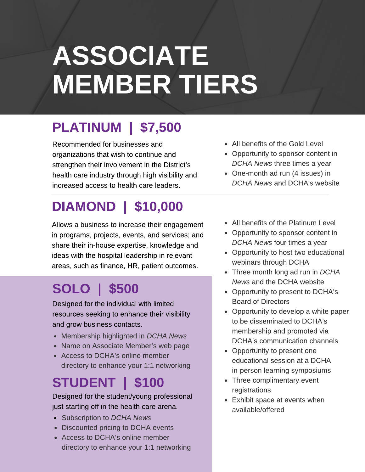## ASSOCIATE MEMBER TIERS

### PLATINUM | \$7,500

Recommended for businesses and organizations that wish to continue and strengthen their involvement in the District's health care industry through high visibility and increased access to health care leaders.

#### DIAMOND | \$10,000

Allows a business to increase their engagement in programs, projects, events, and services; and share their in-house expertise, knowledge and ideas with the hospital leadership in relevant areas, such as finance, HR, patient outcomes.

#### SOLO | \$500

Designed for the individual with limited resources seeking to enhance their visibility and grow business contacts.

- Membership highlighted in DCHA News
- Name on Associate Member's web page
- Access to DCHA's online member directory to enhance your 1:1 networking

### STUDENT | \$100

Designed for the student/young professional just starting off in the health care arena.

- Subscription to DCHA News
- Discounted pricing to DCHA events
- Access to DCHA's online member directory to enhance your 1:1 networking
- All benefits of the Gold Level
- Opportunity to sponsor content in DCHA News three times a year
- One-month ad run (4 issues) in DCHA News and DCHA's website
- All benefits of the Platinum Level
- Opportunity to sponsor content in DCHA News four times a year
- Opportunity to host two educational webinars through DCHA
- Three month long ad run in DCHA News and the DCHA website
- Opportunity to present to DCHA's Board of Directors
- Opportunity to develop a white paper to be disseminated to DCHA's membership and promoted via DCHA's communication channels
- Opportunity to present one educational session at a DCHA in-person learning symposiums
- Three complimentary event registrations
- Exhibit space at events when available/offered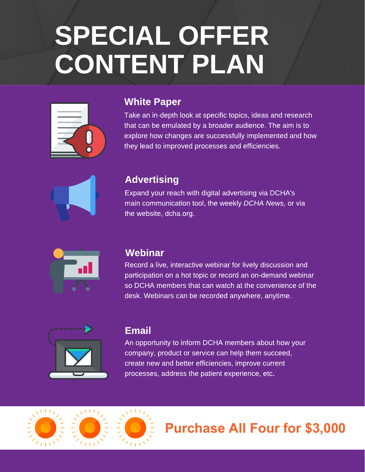# SPECIAL OFFER CONTENT PLAN



#### White Paper

Take an in-depth look at specific topics, ideas and research that can be emulated by a broader audience. The aim is to explore how changes are successfully implemented and how they lead to improved processes and efficiencies.



#### **Advertising**

Expand your reach with digital advertising via DCHA's main communication tool, the weekly DCHA News, or via the website, dcha.org.



#### **Webinar**

Record a live, interactive webinar for lively discussion and participation on a hot topic or record an on-demand webinar so DCHA members that can watch at the convenience of the desk. Webinars can be recorded anywhere, anytime.



#### Email

An opportunity to inform DCHA members about how your company, product or service can help them succeed, create new and better efficiencies, improve current processes, address the patient experience, etc.



#### **Purchase All Four for \$3,000**